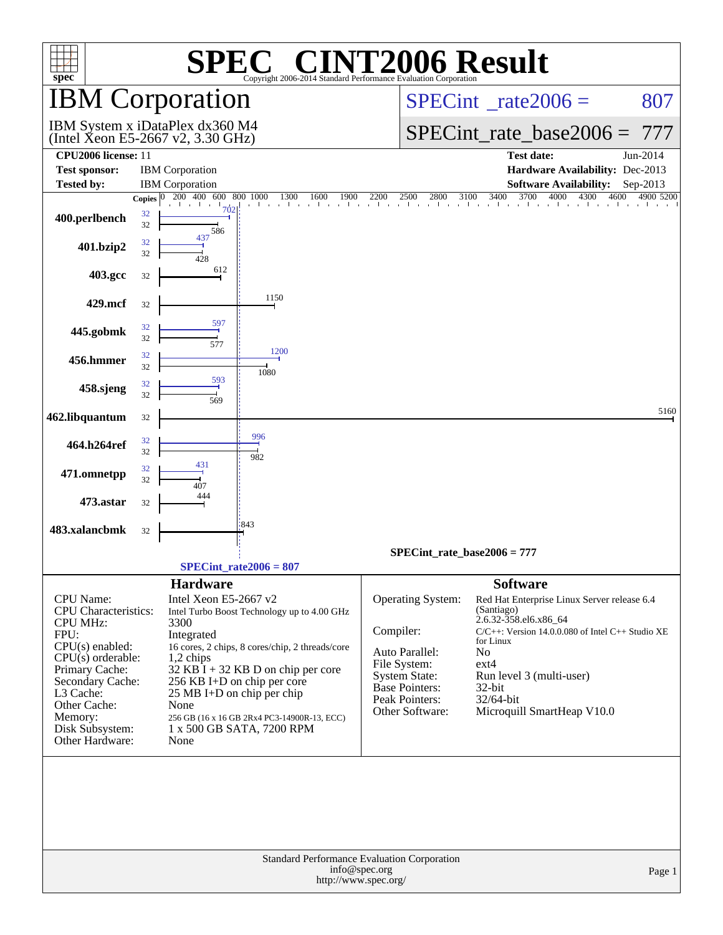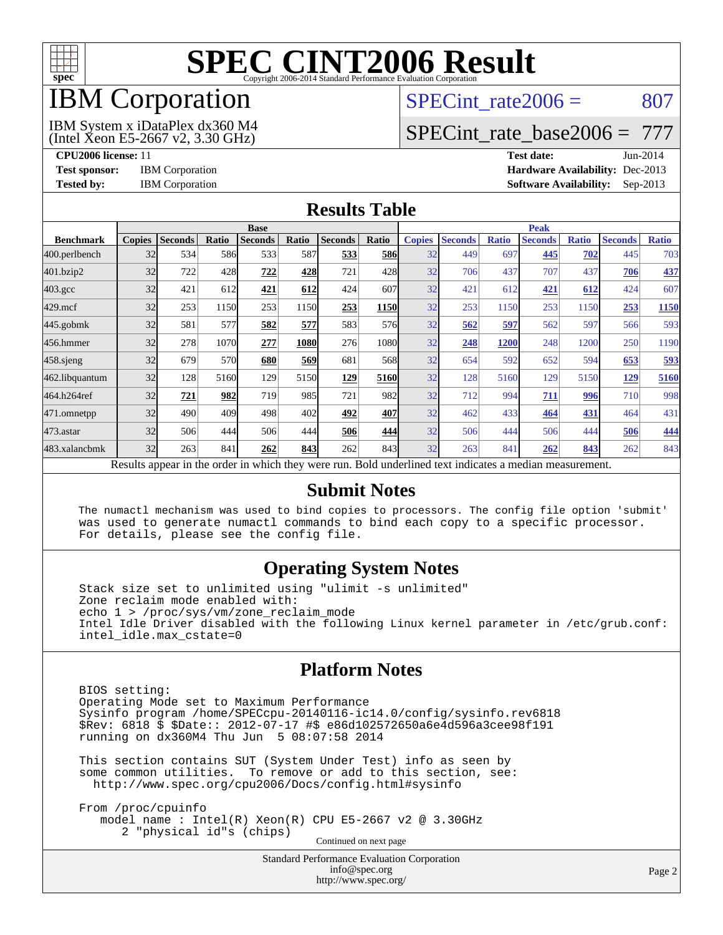

## IBM Corporation

### SPECint rate $2006 = 807$

(Intel Xeon E5-2667 v2, 3.30 GHz) IBM System x iDataPlex dx360 M4

[SPECint\\_rate\\_base2006 =](http://www.spec.org/auto/cpu2006/Docs/result-fields.html#SPECintratebase2006) 777

**[CPU2006 license:](http://www.spec.org/auto/cpu2006/Docs/result-fields.html#CPU2006license)** 11 **[Test date:](http://www.spec.org/auto/cpu2006/Docs/result-fields.html#Testdate)** Jun-2014 **[Test sponsor:](http://www.spec.org/auto/cpu2006/Docs/result-fields.html#Testsponsor)** IBM Corporation **[Hardware Availability:](http://www.spec.org/auto/cpu2006/Docs/result-fields.html#HardwareAvailability)** Dec-2013 **[Tested by:](http://www.spec.org/auto/cpu2006/Docs/result-fields.html#Testedby)** IBM Corporation **[Software Availability:](http://www.spec.org/auto/cpu2006/Docs/result-fields.html#SoftwareAvailability)** Sep-2013

#### **[Results Table](http://www.spec.org/auto/cpu2006/Docs/result-fields.html#ResultsTable)**

|                    | <b>Base</b>   |                |       |                                                                                                          |       |                |            | <b>Peak</b>   |                |              |                |              |                |              |
|--------------------|---------------|----------------|-------|----------------------------------------------------------------------------------------------------------|-------|----------------|------------|---------------|----------------|--------------|----------------|--------------|----------------|--------------|
| <b>Benchmark</b>   | <b>Copies</b> | <b>Seconds</b> | Ratio | <b>Seconds</b>                                                                                           | Ratio | <b>Seconds</b> | Ratio      | <b>Copies</b> | <b>Seconds</b> | <b>Ratio</b> | <b>Seconds</b> | <b>Ratio</b> | <b>Seconds</b> | <b>Ratio</b> |
| 400.perlbench      | 32            | 534            | 586   | 533                                                                                                      | 587   | 533            | <b>586</b> | 32            | 449            | 697          | 445            | 702          | 445            | 703          |
| 401.bzip2          | 32            | 722            | 428   | 722                                                                                                      | 428   | 721            | 428        | 32            | 706            | 437          | 707            | 437          | 706            | 437          |
| $403.\mathrm{gcc}$ | 32            | 421            | 612   | 421                                                                                                      | 612   | 424            | 607        | 32            | 421            | 612          | 421            | 612          | 424            | 607          |
| $429$ .mcf         | 32            | 253            | 1150  | 253                                                                                                      | 1150  | 253            | 1150       | 32            | 253            | 1150         | 253            | 1150         | 253            | 1150         |
| $445$ .gobmk       | 32            | 581            | 577   | 582                                                                                                      | 577   | 583            | 576        | 32            | 562            | 597          | 562            | 597          | 566            | 593          |
| 456.hmmer          | 32            | 278            | 1070  | 277                                                                                                      | 1080  | 276            | 1080l      | 32            | 248            | 1200         | 248            | 1200         | 250            | 1190         |
| $458$ .sjeng       | 32            | 679            | 570   | 680                                                                                                      | 569   | 681            | 568l       | 32            | 654            | 592          | 652            | 594          | 653            | 593          |
| 462.libquantum     | 32            | 128            | 5160  | 129                                                                                                      | 5150  | <u>129</u>     | 5160       | 32            | 128            | 5160         | 129            | 5150         | 129            | 5160         |
| 464.h264ref        | 32            | 721            | 982   | 719                                                                                                      | 985   | 721            | 982l       | 32            | 712            | 994          | 711            | 996          | 710            | 998          |
| 471.omnetpp        | 32            | 490            | 409   | 498                                                                                                      | 402   | 492            | 407        | 32            | 462            | 433          | 464            | 431          | 464            | 431          |
| $473$ . astar      | 32            | 506            | 444   | 506                                                                                                      | 444   | 506            | 444        | 32            | 506            | 444          | 506            | 444          | 506            | 444          |
| 483.xalancbmk      | 32            | 263            | 841   | 262                                                                                                      | 843   | 262            | 843        | 32            | 263            | 841          | 262            | 843          | 262            | 843          |
|                    |               |                |       | Results appear in the order in which they were run. Bold underlined text indicates a median measurement. |       |                |            |               |                |              |                |              |                |              |

#### **[Submit Notes](http://www.spec.org/auto/cpu2006/Docs/result-fields.html#SubmitNotes)**

 The numactl mechanism was used to bind copies to processors. The config file option 'submit' was used to generate numactl commands to bind each copy to a specific processor. For details, please see the config file.

#### **[Operating System Notes](http://www.spec.org/auto/cpu2006/Docs/result-fields.html#OperatingSystemNotes)**

 Stack size set to unlimited using "ulimit -s unlimited" Zone reclaim mode enabled with: echo 1 > /proc/sys/vm/zone\_reclaim\_mode Intel Idle Driver disabled with the following Linux kernel parameter in /etc/grub.conf: intel\_idle.max\_cstate=0

#### **[Platform Notes](http://www.spec.org/auto/cpu2006/Docs/result-fields.html#PlatformNotes)**

 BIOS setting: Operating Mode set to Maximum Performance Sysinfo program /home/SPECcpu-20140116-ic14.0/config/sysinfo.rev6818 \$Rev: 6818 \$ \$Date:: 2012-07-17 #\$ e86d102572650a6e4d596a3cee98f191 running on dx360M4 Thu Jun 5 08:07:58 2014

 This section contains SUT (System Under Test) info as seen by some common utilities. To remove or add to this section, see: <http://www.spec.org/cpu2006/Docs/config.html#sysinfo>

 From /proc/cpuinfo model name : Intel(R) Xeon(R) CPU E5-2667 v2 @ 3.30GHz 2 "physical id"s (chips) Continued on next page

> Standard Performance Evaluation Corporation [info@spec.org](mailto:info@spec.org) <http://www.spec.org/>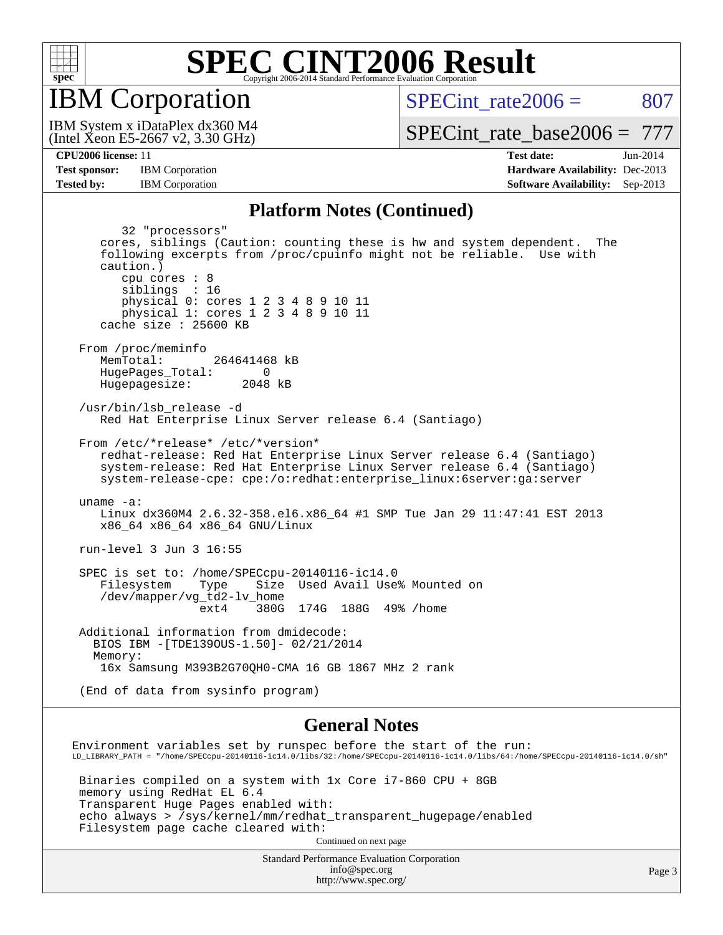

IBM Corporation

SPECint rate $2006 = 807$ 

(Intel Xeon E5-2667 v2, 3.30 GHz) IBM System x iDataPlex dx360 M4

[SPECint\\_rate\\_base2006 =](http://www.spec.org/auto/cpu2006/Docs/result-fields.html#SPECintratebase2006) 777

**[Tested by:](http://www.spec.org/auto/cpu2006/Docs/result-fields.html#Testedby)** IBM Corporation **[Software Availability:](http://www.spec.org/auto/cpu2006/Docs/result-fields.html#SoftwareAvailability)** Sep-2013

**[CPU2006 license:](http://www.spec.org/auto/cpu2006/Docs/result-fields.html#CPU2006license)** 11 **[Test date:](http://www.spec.org/auto/cpu2006/Docs/result-fields.html#Testdate)** Jun-2014 **[Test sponsor:](http://www.spec.org/auto/cpu2006/Docs/result-fields.html#Testsponsor)** IBM Corporation **[Hardware Availability:](http://www.spec.org/auto/cpu2006/Docs/result-fields.html#HardwareAvailability)** Dec-2013

#### **[Platform Notes \(Continued\)](http://www.spec.org/auto/cpu2006/Docs/result-fields.html#PlatformNotes)**

 32 "processors" cores, siblings (Caution: counting these is hw and system dependent. The following excerpts from /proc/cpuinfo might not be reliable. Use with caution.) cpu cores : 8 siblings : 16 physical 0: cores 1 2 3 4 8 9 10 11 physical 1: cores 1 2 3 4 8 9 10 11 cache size : 25600 KB From /proc/meminfo MemTotal: 264641468 kB HugePages\_Total: 0<br>Hugepagesize: 2048 kB Hugepagesize: /usr/bin/lsb\_release -d Red Hat Enterprise Linux Server release 6.4 (Santiago) From /etc/\*release\* /etc/\*version\* redhat-release: Red Hat Enterprise Linux Server release 6.4 (Santiago) system-release: Red Hat Enterprise Linux Server release 6.4 (Santiago) system-release-cpe: cpe:/o:redhat:enterprise\_linux:6server:ga:server uname -a: Linux dx360M4 2.6.32-358.el6.x86\_64 #1 SMP Tue Jan 29 11:47:41 EST 2013 x86\_64 x86\_64 x86\_64 GNU/Linux run-level 3 Jun 3 16:55 SPEC is set to: /home/SPECcpu-20140116-ic14.0 Filesystem Type Size Used Avail Use% Mounted on /dev/mapper/vg\_td2-lv\_home ext4 380G 174G 188G 49% /home Additional information from dmidecode: BIOS IBM -[TDE139OUS-1.50]- 02/21/2014 Memory: 16x Samsung M393B2G70QH0-CMA 16 GB 1867 MHz 2 rank (End of data from sysinfo program) **[General Notes](http://www.spec.org/auto/cpu2006/Docs/result-fields.html#GeneralNotes)** Environment variables set by runspec before the start of the run: LD\_LIBRARY\_PATH = "/home/SPECcpu-20140116-ic14.0/libs/32:/home/SPECcpu-20140116-ic14.0/libs/64:/home/SPECcpu-20140116-ic14.0/sh"

 Binaries compiled on a system with 1x Core i7-860 CPU + 8GB memory using RedHat EL 6.4 Transparent Huge Pages enabled with: echo always > /sys/kernel/mm/redhat\_transparent\_hugepage/enabled Filesystem page cache cleared with:

Continued on next page

Standard Performance Evaluation Corporation [info@spec.org](mailto:info@spec.org) <http://www.spec.org/>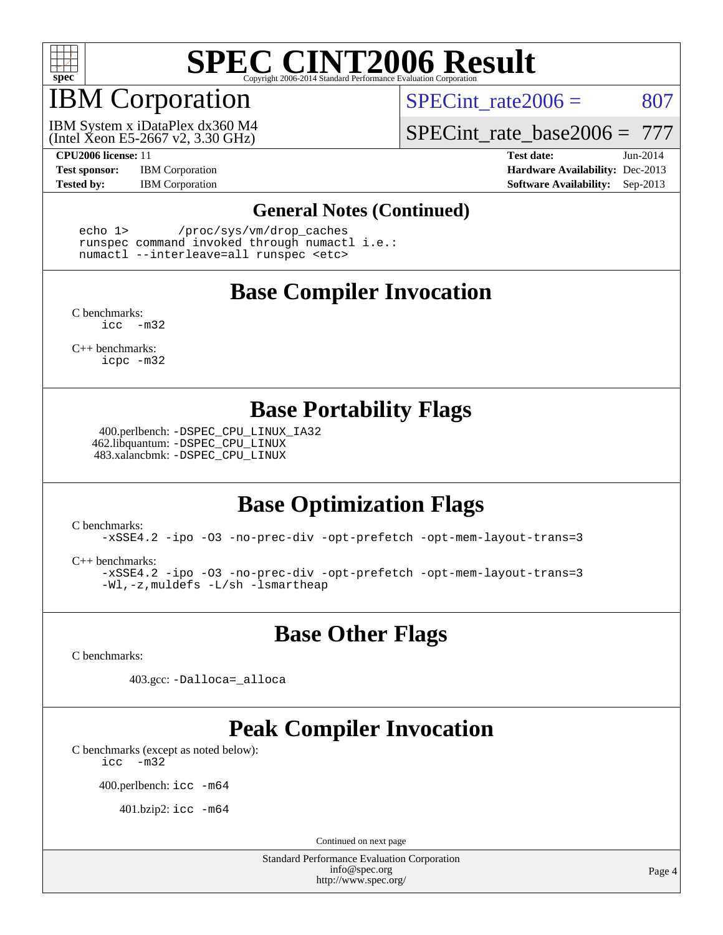

## IBM Corporation

SPECint rate $2006 = 807$ 

(Intel Xeon E5-2667 v2, 3.30 GHz) IBM System x iDataPlex dx360 M4

SPECint rate base2006 =  $777$ 

**[CPU2006 license:](http://www.spec.org/auto/cpu2006/Docs/result-fields.html#CPU2006license)** 11 **[Test date:](http://www.spec.org/auto/cpu2006/Docs/result-fields.html#Testdate)** Jun-2014 **[Test sponsor:](http://www.spec.org/auto/cpu2006/Docs/result-fields.html#Testsponsor)** IBM Corporation **[Hardware Availability:](http://www.spec.org/auto/cpu2006/Docs/result-fields.html#HardwareAvailability)** Dec-2013 **[Tested by:](http://www.spec.org/auto/cpu2006/Docs/result-fields.html#Testedby)** IBM Corporation **[Software Availability:](http://www.spec.org/auto/cpu2006/Docs/result-fields.html#SoftwareAvailability)** Sep-2013

#### **[General Notes \(Continued\)](http://www.spec.org/auto/cpu2006/Docs/result-fields.html#GeneralNotes)**

 echo 1> /proc/sys/vm/drop\_caches runspec command invoked through numactl i.e.: numactl --interleave=all runspec <etc>

### **[Base Compiler Invocation](http://www.spec.org/auto/cpu2006/Docs/result-fields.html#BaseCompilerInvocation)**

[C benchmarks](http://www.spec.org/auto/cpu2006/Docs/result-fields.html#Cbenchmarks): [icc -m32](http://www.spec.org/cpu2006/results/res2014q3/cpu2006-20140611-29857.flags.html#user_CCbase_intel_icc_5ff4a39e364c98233615fdd38438c6f2)

[C++ benchmarks:](http://www.spec.org/auto/cpu2006/Docs/result-fields.html#CXXbenchmarks) [icpc -m32](http://www.spec.org/cpu2006/results/res2014q3/cpu2006-20140611-29857.flags.html#user_CXXbase_intel_icpc_4e5a5ef1a53fd332b3c49e69c3330699)

#### **[Base Portability Flags](http://www.spec.org/auto/cpu2006/Docs/result-fields.html#BasePortabilityFlags)**

 400.perlbench: [-DSPEC\\_CPU\\_LINUX\\_IA32](http://www.spec.org/cpu2006/results/res2014q3/cpu2006-20140611-29857.flags.html#b400.perlbench_baseCPORTABILITY_DSPEC_CPU_LINUX_IA32) 462.libquantum: [-DSPEC\\_CPU\\_LINUX](http://www.spec.org/cpu2006/results/res2014q3/cpu2006-20140611-29857.flags.html#b462.libquantum_baseCPORTABILITY_DSPEC_CPU_LINUX) 483.xalancbmk: [-DSPEC\\_CPU\\_LINUX](http://www.spec.org/cpu2006/results/res2014q3/cpu2006-20140611-29857.flags.html#b483.xalancbmk_baseCXXPORTABILITY_DSPEC_CPU_LINUX)

### **[Base Optimization Flags](http://www.spec.org/auto/cpu2006/Docs/result-fields.html#BaseOptimizationFlags)**

[C benchmarks](http://www.spec.org/auto/cpu2006/Docs/result-fields.html#Cbenchmarks):

[-xSSE4.2](http://www.spec.org/cpu2006/results/res2014q3/cpu2006-20140611-29857.flags.html#user_CCbase_f-xSSE42_f91528193cf0b216347adb8b939d4107) [-ipo](http://www.spec.org/cpu2006/results/res2014q3/cpu2006-20140611-29857.flags.html#user_CCbase_f-ipo) [-O3](http://www.spec.org/cpu2006/results/res2014q3/cpu2006-20140611-29857.flags.html#user_CCbase_f-O3) [-no-prec-div](http://www.spec.org/cpu2006/results/res2014q3/cpu2006-20140611-29857.flags.html#user_CCbase_f-no-prec-div) [-opt-prefetch](http://www.spec.org/cpu2006/results/res2014q3/cpu2006-20140611-29857.flags.html#user_CCbase_f-opt-prefetch) [-opt-mem-layout-trans=3](http://www.spec.org/cpu2006/results/res2014q3/cpu2006-20140611-29857.flags.html#user_CCbase_f-opt-mem-layout-trans_a7b82ad4bd7abf52556d4961a2ae94d5)

[C++ benchmarks:](http://www.spec.org/auto/cpu2006/Docs/result-fields.html#CXXbenchmarks)

[-xSSE4.2](http://www.spec.org/cpu2006/results/res2014q3/cpu2006-20140611-29857.flags.html#user_CXXbase_f-xSSE42_f91528193cf0b216347adb8b939d4107) [-ipo](http://www.spec.org/cpu2006/results/res2014q3/cpu2006-20140611-29857.flags.html#user_CXXbase_f-ipo) [-O3](http://www.spec.org/cpu2006/results/res2014q3/cpu2006-20140611-29857.flags.html#user_CXXbase_f-O3) [-no-prec-div](http://www.spec.org/cpu2006/results/res2014q3/cpu2006-20140611-29857.flags.html#user_CXXbase_f-no-prec-div) [-opt-prefetch](http://www.spec.org/cpu2006/results/res2014q3/cpu2006-20140611-29857.flags.html#user_CXXbase_f-opt-prefetch) [-opt-mem-layout-trans=3](http://www.spec.org/cpu2006/results/res2014q3/cpu2006-20140611-29857.flags.html#user_CXXbase_f-opt-mem-layout-trans_a7b82ad4bd7abf52556d4961a2ae94d5) [-Wl,-z,muldefs](http://www.spec.org/cpu2006/results/res2014q3/cpu2006-20140611-29857.flags.html#user_CXXbase_link_force_multiple1_74079c344b956b9658436fd1b6dd3a8a) [-L/sh -lsmartheap](http://www.spec.org/cpu2006/results/res2014q3/cpu2006-20140611-29857.flags.html#user_CXXbase_SmartHeap_32f6c82aa1ed9c52345d30cf6e4a0499)

**[Base Other Flags](http://www.spec.org/auto/cpu2006/Docs/result-fields.html#BaseOtherFlags)**

[C benchmarks](http://www.spec.org/auto/cpu2006/Docs/result-fields.html#Cbenchmarks):

403.gcc: [-Dalloca=\\_alloca](http://www.spec.org/cpu2006/results/res2014q3/cpu2006-20140611-29857.flags.html#b403.gcc_baseEXTRA_CFLAGS_Dalloca_be3056838c12de2578596ca5467af7f3)

### **[Peak Compiler Invocation](http://www.spec.org/auto/cpu2006/Docs/result-fields.html#PeakCompilerInvocation)**

[C benchmarks \(except as noted below\)](http://www.spec.org/auto/cpu2006/Docs/result-fields.html#Cbenchmarksexceptasnotedbelow): [icc -m32](http://www.spec.org/cpu2006/results/res2014q3/cpu2006-20140611-29857.flags.html#user_CCpeak_intel_icc_5ff4a39e364c98233615fdd38438c6f2)

400.perlbench: [icc -m64](http://www.spec.org/cpu2006/results/res2014q3/cpu2006-20140611-29857.flags.html#user_peakCCLD400_perlbench_intel_icc_64bit_bda6cc9af1fdbb0edc3795bac97ada53)

401.bzip2: [icc -m64](http://www.spec.org/cpu2006/results/res2014q3/cpu2006-20140611-29857.flags.html#user_peakCCLD401_bzip2_intel_icc_64bit_bda6cc9af1fdbb0edc3795bac97ada53)

Continued on next page

Standard Performance Evaluation Corporation [info@spec.org](mailto:info@spec.org) <http://www.spec.org/>

Page 4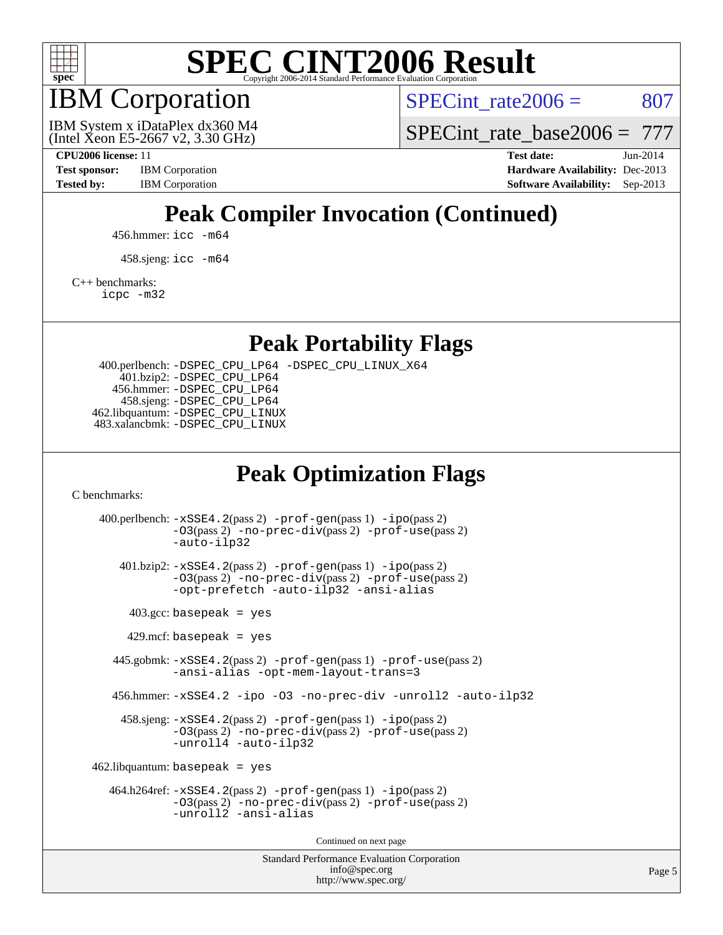

IBM Corporation

SPECint rate $2006 = 807$ 

(Intel Xeon E5-2667 v2, 3.30 GHz) IBM System x iDataPlex dx360 M4 SPECint rate base2006 =  $777$ 

**[CPU2006 license:](http://www.spec.org/auto/cpu2006/Docs/result-fields.html#CPU2006license)** 11 **[Test date:](http://www.spec.org/auto/cpu2006/Docs/result-fields.html#Testdate)** Jun-2014 **[Test sponsor:](http://www.spec.org/auto/cpu2006/Docs/result-fields.html#Testsponsor)** IBM Corporation **[Hardware Availability:](http://www.spec.org/auto/cpu2006/Docs/result-fields.html#HardwareAvailability)** Dec-2013 [Tested by:](http://www.spec.org/auto/cpu2006/Docs/result-fields.html#Testedby) IBM Corporation **[Software Availability:](http://www.spec.org/auto/cpu2006/Docs/result-fields.html#SoftwareAvailability)** Sep-2013

## **[Peak Compiler Invocation \(Continued\)](http://www.spec.org/auto/cpu2006/Docs/result-fields.html#PeakCompilerInvocation)**

456.hmmer: [icc -m64](http://www.spec.org/cpu2006/results/res2014q3/cpu2006-20140611-29857.flags.html#user_peakCCLD456_hmmer_intel_icc_64bit_bda6cc9af1fdbb0edc3795bac97ada53)

458.sjeng: [icc -m64](http://www.spec.org/cpu2006/results/res2014q3/cpu2006-20140611-29857.flags.html#user_peakCCLD458_sjeng_intel_icc_64bit_bda6cc9af1fdbb0edc3795bac97ada53)

[C++ benchmarks:](http://www.spec.org/auto/cpu2006/Docs/result-fields.html#CXXbenchmarks)

[icpc -m32](http://www.spec.org/cpu2006/results/res2014q3/cpu2006-20140611-29857.flags.html#user_CXXpeak_intel_icpc_4e5a5ef1a53fd332b3c49e69c3330699)

**[Peak Portability Flags](http://www.spec.org/auto/cpu2006/Docs/result-fields.html#PeakPortabilityFlags)**

 400.perlbench: [-DSPEC\\_CPU\\_LP64](http://www.spec.org/cpu2006/results/res2014q3/cpu2006-20140611-29857.flags.html#b400.perlbench_peakCPORTABILITY_DSPEC_CPU_LP64) [-DSPEC\\_CPU\\_LINUX\\_X64](http://www.spec.org/cpu2006/results/res2014q3/cpu2006-20140611-29857.flags.html#b400.perlbench_peakCPORTABILITY_DSPEC_CPU_LINUX_X64) 401.bzip2: [-DSPEC\\_CPU\\_LP64](http://www.spec.org/cpu2006/results/res2014q3/cpu2006-20140611-29857.flags.html#suite_peakCPORTABILITY401_bzip2_DSPEC_CPU_LP64) 456.hmmer: [-DSPEC\\_CPU\\_LP64](http://www.spec.org/cpu2006/results/res2014q3/cpu2006-20140611-29857.flags.html#suite_peakCPORTABILITY456_hmmer_DSPEC_CPU_LP64) 458.sjeng: [-DSPEC\\_CPU\\_LP64](http://www.spec.org/cpu2006/results/res2014q3/cpu2006-20140611-29857.flags.html#suite_peakCPORTABILITY458_sjeng_DSPEC_CPU_LP64) 462.libquantum: [-DSPEC\\_CPU\\_LINUX](http://www.spec.org/cpu2006/results/res2014q3/cpu2006-20140611-29857.flags.html#b462.libquantum_peakCPORTABILITY_DSPEC_CPU_LINUX) 483.xalancbmk: [-DSPEC\\_CPU\\_LINUX](http://www.spec.org/cpu2006/results/res2014q3/cpu2006-20140611-29857.flags.html#b483.xalancbmk_peakCXXPORTABILITY_DSPEC_CPU_LINUX)

### **[Peak Optimization Flags](http://www.spec.org/auto/cpu2006/Docs/result-fields.html#PeakOptimizationFlags)**

[C benchmarks](http://www.spec.org/auto/cpu2006/Docs/result-fields.html#Cbenchmarks):

Standard Performance Evaluation Corporation 400.perlbench: [-xSSE4.2](http://www.spec.org/cpu2006/results/res2014q3/cpu2006-20140611-29857.flags.html#user_peakPASS2_CFLAGSPASS2_LDCFLAGS400_perlbench_f-xSSE42_f91528193cf0b216347adb8b939d4107)(pass 2) [-prof-gen](http://www.spec.org/cpu2006/results/res2014q3/cpu2006-20140611-29857.flags.html#user_peakPASS1_CFLAGSPASS1_LDCFLAGS400_perlbench_prof_gen_e43856698f6ca7b7e442dfd80e94a8fc)(pass 1) [-ipo](http://www.spec.org/cpu2006/results/res2014q3/cpu2006-20140611-29857.flags.html#user_peakPASS2_CFLAGSPASS2_LDCFLAGS400_perlbench_f-ipo)(pass 2) [-O3](http://www.spec.org/cpu2006/results/res2014q3/cpu2006-20140611-29857.flags.html#user_peakPASS2_CFLAGSPASS2_LDCFLAGS400_perlbench_f-O3)(pass 2) [-no-prec-div](http://www.spec.org/cpu2006/results/res2014q3/cpu2006-20140611-29857.flags.html#user_peakPASS2_CFLAGSPASS2_LDCFLAGS400_perlbench_f-no-prec-div)(pass 2) [-prof-use](http://www.spec.org/cpu2006/results/res2014q3/cpu2006-20140611-29857.flags.html#user_peakPASS2_CFLAGSPASS2_LDCFLAGS400_perlbench_prof_use_bccf7792157ff70d64e32fe3e1250b55)(pass 2) [-auto-ilp32](http://www.spec.org/cpu2006/results/res2014q3/cpu2006-20140611-29857.flags.html#user_peakCOPTIMIZE400_perlbench_f-auto-ilp32) 401.bzip2: [-xSSE4.2](http://www.spec.org/cpu2006/results/res2014q3/cpu2006-20140611-29857.flags.html#user_peakPASS2_CFLAGSPASS2_LDCFLAGS401_bzip2_f-xSSE42_f91528193cf0b216347adb8b939d4107)(pass 2) [-prof-gen](http://www.spec.org/cpu2006/results/res2014q3/cpu2006-20140611-29857.flags.html#user_peakPASS1_CFLAGSPASS1_LDCFLAGS401_bzip2_prof_gen_e43856698f6ca7b7e442dfd80e94a8fc)(pass 1) [-ipo](http://www.spec.org/cpu2006/results/res2014q3/cpu2006-20140611-29857.flags.html#user_peakPASS2_CFLAGSPASS2_LDCFLAGS401_bzip2_f-ipo)(pass 2) [-O3](http://www.spec.org/cpu2006/results/res2014q3/cpu2006-20140611-29857.flags.html#user_peakPASS2_CFLAGSPASS2_LDCFLAGS401_bzip2_f-O3)(pass 2) [-no-prec-div](http://www.spec.org/cpu2006/results/res2014q3/cpu2006-20140611-29857.flags.html#user_peakPASS2_CFLAGSPASS2_LDCFLAGS401_bzip2_f-no-prec-div)(pass 2) [-prof-use](http://www.spec.org/cpu2006/results/res2014q3/cpu2006-20140611-29857.flags.html#user_peakPASS2_CFLAGSPASS2_LDCFLAGS401_bzip2_prof_use_bccf7792157ff70d64e32fe3e1250b55)(pass 2) [-opt-prefetch](http://www.spec.org/cpu2006/results/res2014q3/cpu2006-20140611-29857.flags.html#user_peakCOPTIMIZE401_bzip2_f-opt-prefetch) [-auto-ilp32](http://www.spec.org/cpu2006/results/res2014q3/cpu2006-20140611-29857.flags.html#user_peakCOPTIMIZE401_bzip2_f-auto-ilp32) [-ansi-alias](http://www.spec.org/cpu2006/results/res2014q3/cpu2006-20140611-29857.flags.html#user_peakCOPTIMIZE401_bzip2_f-ansi-alias)  $403.\text{gcc: basepeak}$  = yes  $429$ .mcf: basepeak = yes 445.gobmk: [-xSSE4.2](http://www.spec.org/cpu2006/results/res2014q3/cpu2006-20140611-29857.flags.html#user_peakPASS2_CFLAGSPASS2_LDCFLAGS445_gobmk_f-xSSE42_f91528193cf0b216347adb8b939d4107)(pass 2) [-prof-gen](http://www.spec.org/cpu2006/results/res2014q3/cpu2006-20140611-29857.flags.html#user_peakPASS1_CFLAGSPASS1_LDCFLAGS445_gobmk_prof_gen_e43856698f6ca7b7e442dfd80e94a8fc)(pass 1) [-prof-use](http://www.spec.org/cpu2006/results/res2014q3/cpu2006-20140611-29857.flags.html#user_peakPASS2_CFLAGSPASS2_LDCFLAGS445_gobmk_prof_use_bccf7792157ff70d64e32fe3e1250b55)(pass 2) [-ansi-alias](http://www.spec.org/cpu2006/results/res2014q3/cpu2006-20140611-29857.flags.html#user_peakCOPTIMIZE445_gobmk_f-ansi-alias) [-opt-mem-layout-trans=3](http://www.spec.org/cpu2006/results/res2014q3/cpu2006-20140611-29857.flags.html#user_peakCOPTIMIZE445_gobmk_f-opt-mem-layout-trans_a7b82ad4bd7abf52556d4961a2ae94d5) 456.hmmer: [-xSSE4.2](http://www.spec.org/cpu2006/results/res2014q3/cpu2006-20140611-29857.flags.html#user_peakCOPTIMIZE456_hmmer_f-xSSE42_f91528193cf0b216347adb8b939d4107) [-ipo](http://www.spec.org/cpu2006/results/res2014q3/cpu2006-20140611-29857.flags.html#user_peakCOPTIMIZE456_hmmer_f-ipo) [-O3](http://www.spec.org/cpu2006/results/res2014q3/cpu2006-20140611-29857.flags.html#user_peakCOPTIMIZE456_hmmer_f-O3) [-no-prec-div](http://www.spec.org/cpu2006/results/res2014q3/cpu2006-20140611-29857.flags.html#user_peakCOPTIMIZE456_hmmer_f-no-prec-div) [-unroll2](http://www.spec.org/cpu2006/results/res2014q3/cpu2006-20140611-29857.flags.html#user_peakCOPTIMIZE456_hmmer_f-unroll_784dae83bebfb236979b41d2422d7ec2) [-auto-ilp32](http://www.spec.org/cpu2006/results/res2014q3/cpu2006-20140611-29857.flags.html#user_peakCOPTIMIZE456_hmmer_f-auto-ilp32) 458.sjeng: [-xSSE4.2](http://www.spec.org/cpu2006/results/res2014q3/cpu2006-20140611-29857.flags.html#user_peakPASS2_CFLAGSPASS2_LDCFLAGS458_sjeng_f-xSSE42_f91528193cf0b216347adb8b939d4107)(pass 2) [-prof-gen](http://www.spec.org/cpu2006/results/res2014q3/cpu2006-20140611-29857.flags.html#user_peakPASS1_CFLAGSPASS1_LDCFLAGS458_sjeng_prof_gen_e43856698f6ca7b7e442dfd80e94a8fc)(pass 1) [-ipo](http://www.spec.org/cpu2006/results/res2014q3/cpu2006-20140611-29857.flags.html#user_peakPASS2_CFLAGSPASS2_LDCFLAGS458_sjeng_f-ipo)(pass 2) [-O3](http://www.spec.org/cpu2006/results/res2014q3/cpu2006-20140611-29857.flags.html#user_peakPASS2_CFLAGSPASS2_LDCFLAGS458_sjeng_f-O3)(pass 2) [-no-prec-div](http://www.spec.org/cpu2006/results/res2014q3/cpu2006-20140611-29857.flags.html#user_peakPASS2_CFLAGSPASS2_LDCFLAGS458_sjeng_f-no-prec-div)(pass 2) [-prof-use](http://www.spec.org/cpu2006/results/res2014q3/cpu2006-20140611-29857.flags.html#user_peakPASS2_CFLAGSPASS2_LDCFLAGS458_sjeng_prof_use_bccf7792157ff70d64e32fe3e1250b55)(pass 2) [-unroll4](http://www.spec.org/cpu2006/results/res2014q3/cpu2006-20140611-29857.flags.html#user_peakCOPTIMIZE458_sjeng_f-unroll_4e5e4ed65b7fd20bdcd365bec371b81f) [-auto-ilp32](http://www.spec.org/cpu2006/results/res2014q3/cpu2006-20140611-29857.flags.html#user_peakCOPTIMIZE458_sjeng_f-auto-ilp32)  $462$ .libquantum: basepeak = yes 464.h264ref: [-xSSE4.2](http://www.spec.org/cpu2006/results/res2014q3/cpu2006-20140611-29857.flags.html#user_peakPASS2_CFLAGSPASS2_LDCFLAGS464_h264ref_f-xSSE42_f91528193cf0b216347adb8b939d4107)(pass 2) [-prof-gen](http://www.spec.org/cpu2006/results/res2014q3/cpu2006-20140611-29857.flags.html#user_peakPASS1_CFLAGSPASS1_LDCFLAGS464_h264ref_prof_gen_e43856698f6ca7b7e442dfd80e94a8fc)(pass 1) [-ipo](http://www.spec.org/cpu2006/results/res2014q3/cpu2006-20140611-29857.flags.html#user_peakPASS2_CFLAGSPASS2_LDCFLAGS464_h264ref_f-ipo)(pass 2) [-O3](http://www.spec.org/cpu2006/results/res2014q3/cpu2006-20140611-29857.flags.html#user_peakPASS2_CFLAGSPASS2_LDCFLAGS464_h264ref_f-O3)(pass 2) [-no-prec-div](http://www.spec.org/cpu2006/results/res2014q3/cpu2006-20140611-29857.flags.html#user_peakPASS2_CFLAGSPASS2_LDCFLAGS464_h264ref_f-no-prec-div)(pass 2) [-prof-use](http://www.spec.org/cpu2006/results/res2014q3/cpu2006-20140611-29857.flags.html#user_peakPASS2_CFLAGSPASS2_LDCFLAGS464_h264ref_prof_use_bccf7792157ff70d64e32fe3e1250b55)(pass 2) [-unroll2](http://www.spec.org/cpu2006/results/res2014q3/cpu2006-20140611-29857.flags.html#user_peakCOPTIMIZE464_h264ref_f-unroll_784dae83bebfb236979b41d2422d7ec2) [-ansi-alias](http://www.spec.org/cpu2006/results/res2014q3/cpu2006-20140611-29857.flags.html#user_peakCOPTIMIZE464_h264ref_f-ansi-alias) Continued on next page

[info@spec.org](mailto:info@spec.org) <http://www.spec.org/>

Page 5